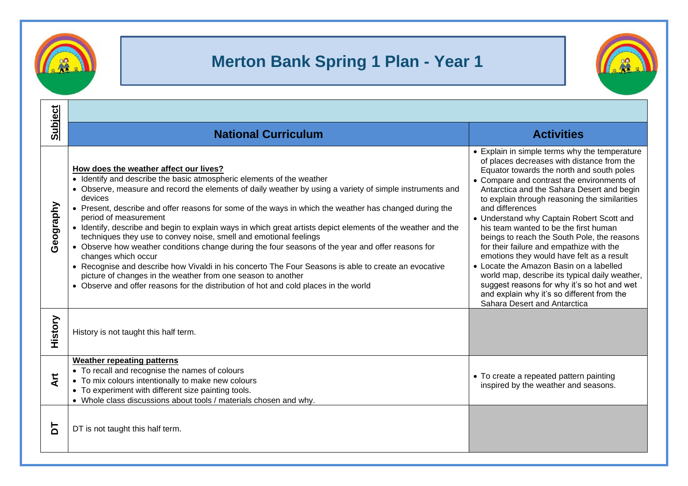

## **Merton Bank Spring 1 Plan - Year 1**



| <b>Subject</b>    | <b>National Curriculum</b>                                                                                                                                                                                                                                                                                                                                                                                                                                                                                                                                                                                                                                                                                                                                                                                                                                                                                                                                 | <b>Activities</b>                                                                                                                                                                                                                                                                                                                                                                                                                                                                                                                                                                                                                                                                                                                                                |  |
|-------------------|------------------------------------------------------------------------------------------------------------------------------------------------------------------------------------------------------------------------------------------------------------------------------------------------------------------------------------------------------------------------------------------------------------------------------------------------------------------------------------------------------------------------------------------------------------------------------------------------------------------------------------------------------------------------------------------------------------------------------------------------------------------------------------------------------------------------------------------------------------------------------------------------------------------------------------------------------------|------------------------------------------------------------------------------------------------------------------------------------------------------------------------------------------------------------------------------------------------------------------------------------------------------------------------------------------------------------------------------------------------------------------------------------------------------------------------------------------------------------------------------------------------------------------------------------------------------------------------------------------------------------------------------------------------------------------------------------------------------------------|--|
| Geography         | How does the weather affect our lives?<br>• Identify and describe the basic atmospheric elements of the weather<br>• Observe, measure and record the elements of daily weather by using a variety of simple instruments and<br>devices<br>• Present, describe and offer reasons for some of the ways in which the weather has changed during the<br>period of measurement<br>• Identify, describe and begin to explain ways in which great artists depict elements of the weather and the<br>techniques they use to convey noise, smell and emotional feelings<br>• Observe how weather conditions change during the four seasons of the year and offer reasons for<br>changes which occur<br>• Recognise and describe how Vivaldi in his concerto The Four Seasons is able to create an evocative<br>picture of changes in the weather from one season to another<br>• Observe and offer reasons for the distribution of hot and cold places in the world | • Explain in simple terms why the temperature<br>of places decreases with distance from the<br>Equator towards the north and south poles<br>• Compare and contrast the environments of<br>Antarctica and the Sahara Desert and begin<br>to explain through reasoning the similarities<br>and differences<br>• Understand why Captain Robert Scott and<br>his team wanted to be the first human<br>beings to reach the South Pole, the reasons<br>for their failure and empathize with the<br>emotions they would have felt as a result<br>• Locate the Amazon Basin on a labelled<br>world map, describe its typical daily weather,<br>suggest reasons for why it's so hot and wet<br>and explain why it's so different from the<br>Sahara Desert and Antarctica |  |
| History           | History is not taught this half term.                                                                                                                                                                                                                                                                                                                                                                                                                                                                                                                                                                                                                                                                                                                                                                                                                                                                                                                      |                                                                                                                                                                                                                                                                                                                                                                                                                                                                                                                                                                                                                                                                                                                                                                  |  |
| $\overline{A}$ rt | <b>Weather repeating patterns</b><br>• To recall and recognise the names of colours<br>• To mix colours intentionally to make new colours<br>• To experiment with different size painting tools.<br>• Whole class discussions about tools / materials chosen and why.                                                                                                                                                                                                                                                                                                                                                                                                                                                                                                                                                                                                                                                                                      | • To create a repeated pattern painting<br>inspired by the weather and seasons.                                                                                                                                                                                                                                                                                                                                                                                                                                                                                                                                                                                                                                                                                  |  |
| Б                 | DT is not taught this half term.                                                                                                                                                                                                                                                                                                                                                                                                                                                                                                                                                                                                                                                                                                                                                                                                                                                                                                                           |                                                                                                                                                                                                                                                                                                                                                                                                                                                                                                                                                                                                                                                                                                                                                                  |  |